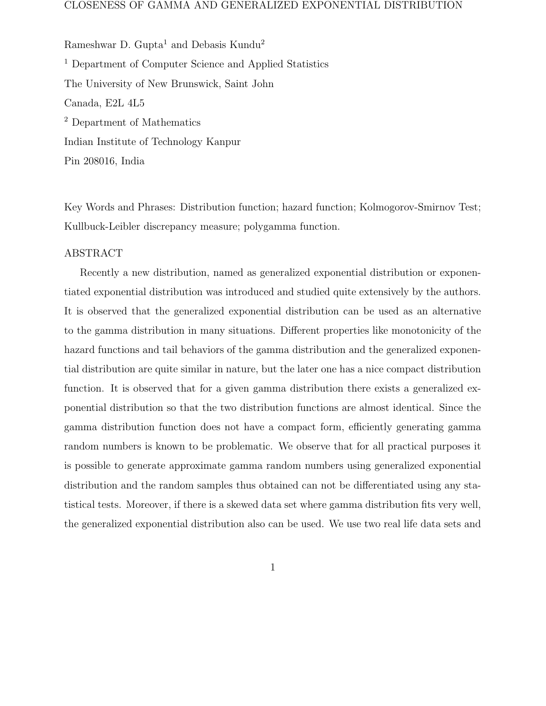#### CLOSENESS OF GAMMA AND GENERALIZED EXPONENTIAL DISTRIBUTION

Rameshwar D. Gupta<sup>1</sup> and Debasis Kundu<sup>2</sup> <sup>1</sup> Department of Computer Science and Applied Statistics The University of New Brunswick, Saint John Canada, E2L 4L5 <sup>2</sup> Department of Mathematics Indian Institute of Technology Kanpur Pin 208016, India

Key Words and Phrases: Distribution function; hazard function; Kolmogorov-Smirnov Test; Kullbuck-Leibler discrepancy measure; polygamma function.

### ABSTRACT

Recently a new distribution, named as generalized exponential distribution or exponentiated exponential distribution was introduced and studied quite extensively by the authors. It is observed that the generalized exponential distribution can be used as an alternative to the gamma distribution in many situations. Different properties like monotonicity of the hazard functions and tail behaviors of the gamma distribution and the generalized exponential distribution are quite similar in nature, but the later one has a nice compact distribution function. It is observed that for a given gamma distribution there exists a generalized exponential distribution so that the two distribution functions are almost identical. Since the gamma distribution function does not have a compact form, efficiently generating gamma random numbers is known to be problematic. We observe that for all practical purposes it is possible to generate approximate gamma random numbers using generalized exponential distribution and the random samples thus obtained can not be differentiated using any statistical tests. Moreover, if there is a skewed data set where gamma distribution fits very well, the generalized exponential distribution also can be used. We use two real life data sets and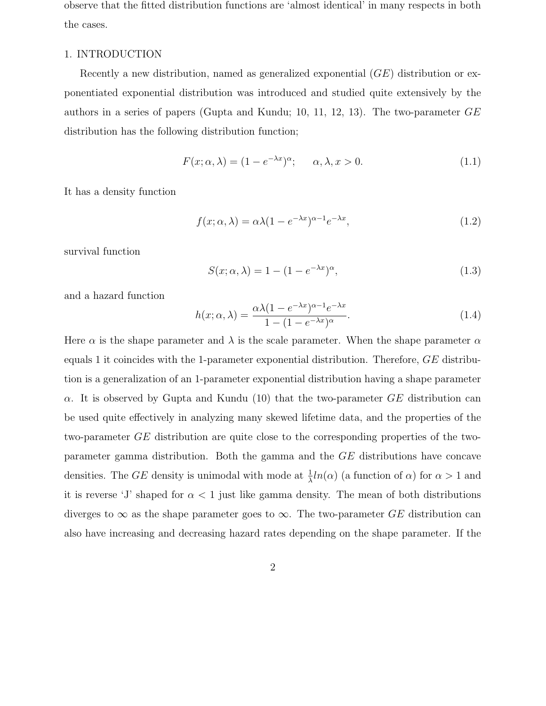observe that the fitted distribution functions are 'almost identical' in many respects in both the cases.

#### 1. INTRODUCTION

Recently a new distribution, named as generalized exponential  $(GE)$  distribution or exponentiated exponential distribution was introduced and studied quite extensively by the authors in a series of papers (Gupta and Kundu; 10, 11, 12, 13). The two-parameter  $GE$ distribution has the following distribution function;

$$
F(x; \alpha, \lambda) = (1 - e^{-\lambda x})^{\alpha}; \qquad \alpha, \lambda, x > 0.
$$
 (1.1)

It has a density function

$$
f(x; \alpha, \lambda) = \alpha \lambda (1 - e^{-\lambda x})^{\alpha - 1} e^{-\lambda x}, \qquad (1.2)
$$

survival function

$$
S(x; \alpha, \lambda) = 1 - (1 - e^{-\lambda x})^{\alpha}, \qquad (1.3)
$$

and a hazard function

$$
h(x; \alpha, \lambda) = \frac{\alpha \lambda (1 - e^{-\lambda x})^{\alpha - 1} e^{-\lambda x}}{1 - (1 - e^{-\lambda x})^{\alpha}}.
$$
\n(1.4)

Here  $\alpha$  is the shape parameter and  $\lambda$  is the scale parameter. When the shape parameter  $\alpha$ equals 1 it coincides with the 1-parameter exponential distribution. Therefore,  $GE$  distribution is a generalization of an 1-parameter exponential distribution having a shape parameter  $\alpha$ . It is observed by Gupta and Kundu (10) that the two-parameter GE distribution can be used quite effectively in analyzing many skewed lifetime data, and the properties of the two-parameter GE distribution are quite close to the corresponding properties of the twoparameter gamma distribution. Both the gamma and the GE distributions have concave densities. The GE density is unimodal with mode at  $\frac{1}{\lambda}ln(\alpha)$  (a function of  $\alpha$ ) for  $\alpha > 1$  and it is reverse 'J' shaped for  $\alpha < 1$  just like gamma density. The mean of both distributions diverges to  $\infty$  as the shape parameter goes to  $\infty$ . The two-parameter GE distribution can also have increasing and decreasing hazard rates depending on the shape parameter. If the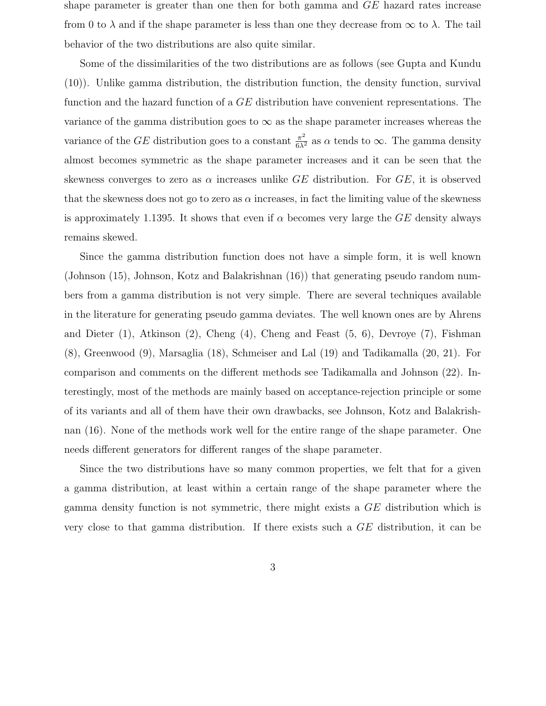shape parameter is greater than one then for both gamma and GE hazard rates increase from 0 to  $\lambda$  and if the shape parameter is less than one they decrease from  $\infty$  to  $\lambda$ . The tail behavior of the two distributions are also quite similar.

Some of the dissimilarities of the two distributions are as follows (see Gupta and Kundu (10)). Unlike gamma distribution, the distribution function, the density function, survival function and the hazard function of a GE distribution have convenient representations. The variance of the gamma distribution goes to  $\infty$  as the shape parameter increases whereas the variance of the GE distribution goes to a constant  $\frac{\pi^2}{6\lambda^2}$  as  $\alpha$  tends to  $\infty$ . The gamma density almost becomes symmetric as the shape parameter increases and it can be seen that the skewness converges to zero as  $\alpha$  increases unlike GE distribution. For GE, it is observed that the skewness does not go to zero as  $\alpha$  increases, in fact the limiting value of the skewness is approximately 1.1395. It shows that even if  $\alpha$  becomes very large the GE density always remains skewed.

Since the gamma distribution function does not have a simple form, it is well known (Johnson (15), Johnson, Kotz and Balakrishnan (16)) that generating pseudo random numbers from a gamma distribution is not very simple. There are several techniques available in the literature for generating pseudo gamma deviates. The well known ones are by Ahrens and Dieter  $(1)$ , Atkinson  $(2)$ , Cheng  $(4)$ , Cheng and Feast  $(5, 6)$ , Devroye  $(7)$ , Fishman (8), Greenwood (9), Marsaglia (18), Schmeiser and Lal (19) and Tadikamalla (20, 21). For comparison and comments on the different methods see Tadikamalla and Johnson (22). Interestingly, most of the methods are mainly based on acceptance-rejection principle or some of its variants and all of them have their own drawbacks, see Johnson, Kotz and Balakrishnan (16). None of the methods work well for the entire range of the shape parameter. One needs different generators for different ranges of the shape parameter.

Since the two distributions have so many common properties, we felt that for a given a gamma distribution, at least within a certain range of the shape parameter where the gamma density function is not symmetric, there might exists a GE distribution which is very close to that gamma distribution. If there exists such a GE distribution, it can be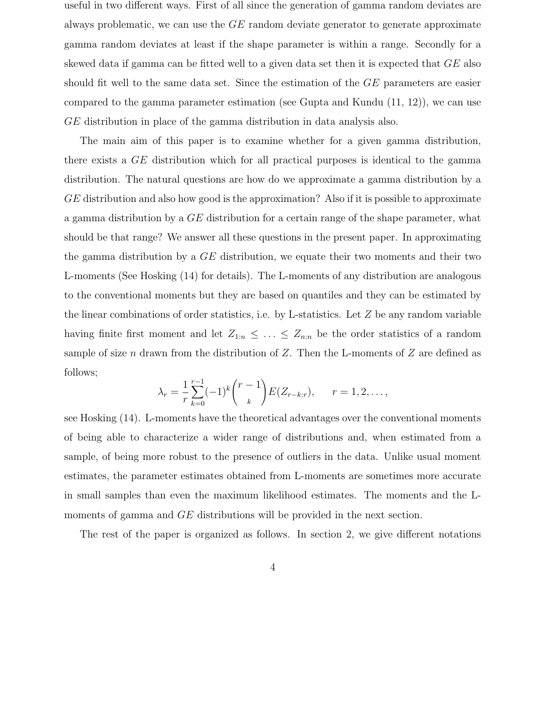useful in two different ways. First of all since the generation of gamma random deviates are always problematic, we can use the GE random deviate generator to generate approximate gamma random deviates at least if the shape parameter is within a range. Secondly for a skewed data if gamma can be fitted well to a given data set then it is expected that GE also should fit well to the same data set. Since the estimation of the GE parameters are easier compared to the gamma parameter estimation (see Gupta and Kundu (11, 12)), we can use GE distribution in place of the gamma distribution in data analysis also.

The main aim of this paper is to examine whether for a given gamma distribution, there exists a GE distribution which for all practical purposes is identical to the gamma distribution. The natural questions are how do we approximate a gamma distribution by a GE distribution and also how good is the approximation? Also if it is possible to approximate a gamma distribution by a  $GE$  distribution for a certain range of the shape parameter, what should be that range? We answer all these questions in the present paper. In approximating the gamma distribution by a GE distribution, we equate their two moments and their two L-moments (See Hosking (14) for details). The L-moments of any distribution are analogous to the conventional moments but they are based on quantiles and they can be estimated by the linear combinations of order statistics, i.e. by L-statistics. Let  $Z$  be any random variable having finite first moment and let  $Z_{1:n} \leq \ldots \leq Z_{n:n}$  be the order statistics of a random sample of size n drawn from the distribution of  $Z$ . Then the L-moments of  $Z$  are defined as follows;

$$
\lambda_r = \frac{1}{r} \sum_{k=0}^{r-1} (-1)^k {r-1 \choose k} E(Z_{r-k:r}), \qquad r = 1, 2, \dots,
$$

see Hosking (14). L-moments have the theoretical advantages over the conventional moments of being able to characterize a wider range of distributions and, when estimated from a sample, of being more robust to the presence of outliers in the data. Unlike usual moment estimates, the parameter estimates obtained from L-moments are sometimes more accurate in small samples than even the maximum likelihood estimates. The moments and the Lmoments of gamma and GE distributions will be provided in the next section.

The rest of the paper is organized as follows. In section 2, we give different notations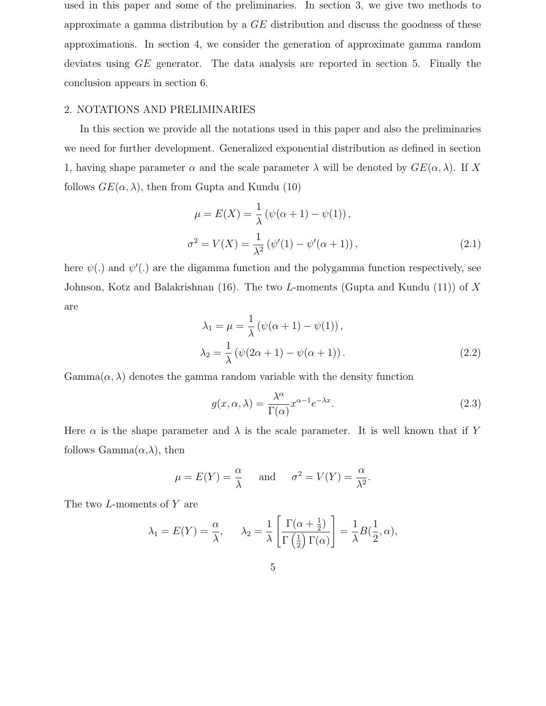used in this paper and some of the preliminaries. In section 3, we give two methods to approximate a gamma distribution by a GE distribution and discuss the goodness of these approximations. In section 4, we consider the generation of approximate gamma random deviates using GE generator. The data analysis are reported in section 5. Finally the conclusion appears in section 6.

### 2. NOTATIONS AND PRELIMINARIES

In this section we provide all the notations used in this paper and also the preliminaries we need for further development. Generalized exponential distribution as defined in section 1, having shape parameter  $\alpha$  and the scale parameter  $\lambda$  will be denoted by  $GE(\alpha, \lambda)$ . If X follows  $GE(\alpha, \lambda)$ , then from Gupta and Kundu (10)

$$
\mu = E(X) = \frac{1}{\lambda} \left( \psi(\alpha + 1) - \psi(1) \right),
$$
  

$$
\sigma^2 = V(X) = \frac{1}{\lambda^2} \left( \psi'(1) - \psi'(\alpha + 1) \right),
$$
 (2.1)

here  $\psi(.)$  and  $\psi'(.)$  are the digamma function and the polygamma function respectively, see Johnson, Kotz and Balakrishnan (16). The two L-moments (Gupta and Kundu (11)) of X are

$$
\lambda_1 = \mu = \frac{1}{\lambda} (\psi(\alpha + 1) - \psi(1)),
$$
  
\n
$$
\lambda_2 = \frac{1}{\lambda} (\psi(2\alpha + 1) - \psi(\alpha + 1)).
$$
\n(2.2)

 $\text{Gamma}(\alpha, \lambda)$  denotes the gamma random variable with the density function

$$
g(x, \alpha, \lambda) = \frac{\lambda^{\alpha}}{\Gamma(\alpha)} x^{\alpha - 1} e^{-\lambda x}.
$$
 (2.3)

Here  $\alpha$  is the shape parameter and  $\lambda$  is the scale parameter. It is well known that if Y follows  $Gamma(\alpha,\lambda)$ , then

$$
\mu = E(Y) = \frac{\alpha}{\lambda}
$$
 and  $\sigma^2 = V(Y) = \frac{\alpha}{\lambda^2}$ .

The two L-moments of Y are

$$
\lambda_1 = E(Y) = \frac{\alpha}{\lambda}, \qquad \lambda_2 = \frac{1}{\lambda} \left[ \frac{\Gamma(\alpha + \frac{1}{2})}{\Gamma(\frac{1}{2}) \Gamma(\alpha)} \right] = \frac{1}{\lambda} B(\frac{1}{2}, \alpha),
$$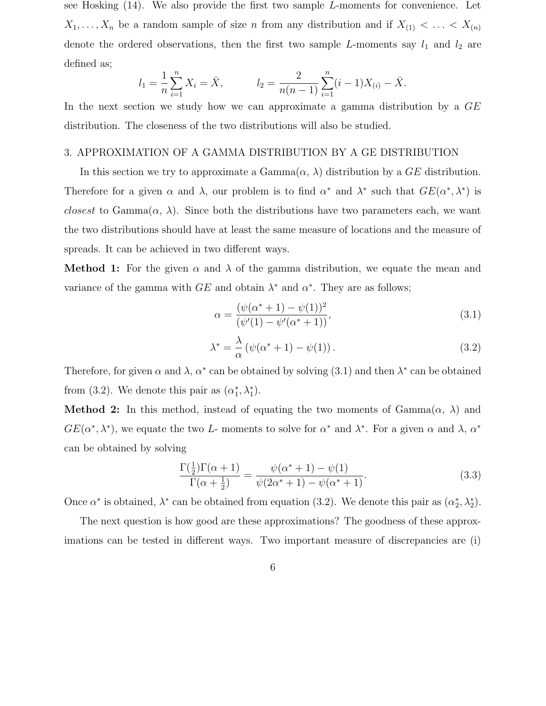see Hosking (14). We also provide the first two sample L-moments for convenience. Let  $X_1, \ldots, X_n$  be a random sample of size n from any distribution and if  $X_{(1)} < \ldots < X_{(n)}$ denote the ordered observations, then the first two sample L-moments say  $l_1$  and  $l_2$  are defined as;

$$
l_1 = \frac{1}{n} \sum_{i=1}^n X_i = \bar{X}, \qquad l_2 = \frac{2}{n(n-1)} \sum_{i=1}^n (i-1)X_{(i)} - \bar{X}.
$$

In the next section we study how we can approximate a gamma distribution by a  $GE$ distribution. The closeness of the two distributions will also be studied.

### 3. APPROXIMATION OF A GAMMA DISTRIBUTION BY A GE DISTRIBUTION

In this section we try to approximate a  $Gamma(\alpha, \lambda)$  distribution by a GE distribution. Therefore for a given  $\alpha$  and  $\lambda$ , our problem is to find  $\alpha^*$  and  $\lambda^*$  such that  $GE(\alpha^*, \lambda^*)$  is closest to Gamma $(\alpha, \lambda)$ . Since both the distributions have two parameters each, we want the two distributions should have at least the same measure of locations and the measure of spreads. It can be achieved in two different ways.

**Method 1:** For the given  $\alpha$  and  $\lambda$  of the gamma distribution, we equate the mean and variance of the gamma with  $GE$  and obtain  $\lambda^*$  and  $\alpha^*$ . They are as follows;

$$
\alpha = \frac{(\psi(\alpha^* + 1) - \psi(1))^2}{(\psi'(1) - \psi'(\alpha^* + 1))},\tag{3.1}
$$

$$
\lambda^* = \frac{\lambda}{\alpha} \left( \psi(\alpha^* + 1) - \psi(1) \right). \tag{3.2}
$$

Therefore, for given  $\alpha$  and  $\lambda$ ,  $\alpha^*$  can be obtained by solving (3.1) and then  $\lambda^*$  can be obtained from (3.2). We denote this pair as  $(\alpha_1^*, \lambda_1^*)$ .

**Method 2:** In this method, instead of equating the two moments of  $Gamma(\alpha, \lambda)$  and  $GE(\alpha^*, \lambda^*)$ , we equate the two L- moments to solve for  $\alpha^*$  and  $\lambda^*$ . For a given  $\alpha$  and  $\lambda$ ,  $\alpha^*$ can be obtained by solving

$$
\frac{\Gamma(\frac{1}{2})\Gamma(\alpha+1)}{\Gamma(\alpha+\frac{1}{2})} = \frac{\psi(\alpha^*+1) - \psi(1)}{\psi(2\alpha^*+1) - \psi(\alpha^*+1)}.
$$
\n(3.3)

Once  $\alpha^*$  is obtained,  $\lambda^*$  can be obtained from equation (3.2). We denote this pair as  $(\alpha_2^*, \lambda_2^*)$ .

The next question is how good are these approximations? The goodness of these approximations can be tested in different ways. Two important measure of discrepancies are (i)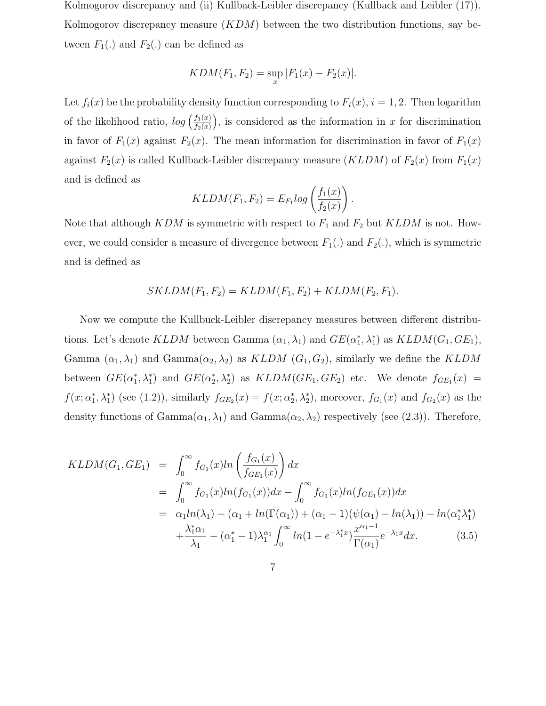Kolmogorov discrepancy and (ii) Kullback-Leibler discrepancy (Kullback and Leibler (17)). Kolmogorov discrepancy measure  $(KDM)$  between the two distribution functions, say between  $F_1(.)$  and  $F_2(.)$  can be defined as

$$
KDM(F_1, F_2) = \sup_x |F_1(x) - F_2(x)|.
$$

Let  $f_i(x)$  be the probability density function corresponding to  $F_i(x)$ ,  $i = 1, 2$ . Then logarithm of the likelihood ratio,  $log\left(\frac{f_1(x)}{f_2(x)}\right)$  $f_2(x)$ ), is considered as the information in  $x$  for discrimination in favor of  $F_1(x)$  against  $F_2(x)$ . The mean information for discrimination in favor of  $F_1(x)$ against  $F_2(x)$  is called Kullback-Leibler discrepancy measure (KLDM) of  $F_2(x)$  from  $F_1(x)$ and is defined as

$$
KLDM(F_1,F_2) = E_{F_1}log\left(\frac{f_1(x)}{f_2(x)}\right).
$$

Note that although  $KDM$  is symmetric with respect to  $F_1$  and  $F_2$  but  $KLDM$  is not. However, we could consider a measure of divergence between  $F_1(.)$  and  $F_2(.)$ , which is symmetric and is defined as

$$
SKLDM(F_1,F_2) = KLDM(F_1,F_2) + KLDM(F_2,F_1).
$$

Now we compute the Kullbuck-Leibler discrepancy measures between different distributions. Let's denote  $KLDM$  between Gamma  $(\alpha_1, \lambda_1)$  and  $GE(\alpha_1^*, \lambda_1^*)$  as  $KLDM(G_1, GE_1)$ , Gamma  $(\alpha_1, \lambda_1)$  and Gamma $(\alpha_2, \lambda_2)$  as KLDM  $(G_1, G_2)$ , similarly we define the KLDM between  $GE(\alpha_1^*, \lambda_1^*)$  and  $GE(\alpha_2^*, \lambda_2^*)$  as  $KLDM(GE_1, GE_2)$  etc. We denote  $f_{GE_1}(x)$  =  $f(x; \alpha_1^*, \lambda_1^*)$  (see (1.2)), similarly  $f_{GE_2}(x) = f(x; \alpha_2^*, \lambda_2^*)$ , moreover,  $f_{G_1}(x)$  and  $f_{G_2}(x)$  as the density functions of  $Gamma(\alpha_1, \lambda_1)$  and  $Gamma(\alpha_2, \lambda_2)$  respectively (see (2.3)). Therefore,

$$
KLDM(G_1, GE_1) = \int_0^\infty f_{G_1}(x)ln\left(\frac{f_{G_1}(x)}{f_{GE_1}(x)}\right)dx
$$
  
\n
$$
= \int_0^\infty f_{G_1}(x)ln(f_{G_1}(x))dx - \int_0^\infty f_{G_1}(x)ln(f_{GE_1}(x))dx
$$
  
\n
$$
= \alpha_1 ln(\lambda_1) - (\alpha_1 + ln(\Gamma(\alpha_1)) + (\alpha_1 - 1)(\psi(\alpha_1) - ln(\lambda_1)) - ln(\alpha_1^*\lambda_1^*)
$$
  
\n
$$
+ \frac{\lambda_1^*\alpha_1}{\lambda_1} - (\alpha_1^* - 1)\lambda_1^{\alpha_1} \int_0^\infty ln(1 - e^{-\lambda_1^*x}) \frac{x^{\alpha_1 - 1}}{\Gamma(\alpha_1)} e^{-\lambda_1 x} dx.
$$
 (3.5)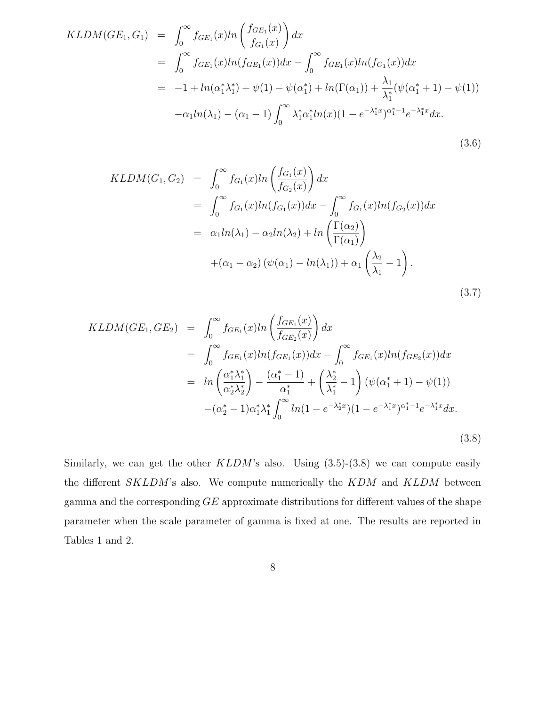$$
KLDM(GE_1, G_1) = \int_0^\infty f_{GE_1}(x)ln\left(\frac{f_{GE_1}(x)}{f_{G_1}(x)}\right)dx
$$
  
\n
$$
= \int_0^\infty f_{GE_1}(x)ln(f_{GE_1}(x))dx - \int_0^\infty f_{GE_1}(x)ln(f_{G_1}(x))dx
$$
  
\n
$$
= -1 + ln(\alpha_1^* \lambda_1^*) + \psi(1) - \psi(\alpha_1^*) + ln(\Gamma(\alpha_1)) + \frac{\lambda_1}{\lambda_1^*}(\psi(\alpha_1^* + 1) - \psi(1))
$$
  
\n
$$
-\alpha_1 ln(\lambda_1) - (\alpha_1 - 1) \int_0^\infty \lambda_1^* \alpha_1^* ln(x) (1 - e^{-\lambda_1^* x})^{\alpha_1^* - 1} e^{-\lambda_1^* x} dx.
$$

$$
(3.6)
$$

$$
KLDM(G_1, G_2) = \int_0^\infty f_{G_1}(x)ln\left(\frac{f_{G_1}(x)}{f_{G_2}(x)}\right) dx
$$
  
\n
$$
= \int_0^\infty f_{G_1}(x)ln(f_{G_1}(x))dx - \int_0^\infty f_{G_1}(x)ln(f_{G_2}(x))dx
$$
  
\n
$$
= \alpha_1 ln(\lambda_1) - \alpha_2 ln(\lambda_2) + ln\left(\frac{\Gamma(\alpha_2)}{\Gamma(\alpha_1)}\right)
$$
  
\n
$$
+ (\alpha_1 - \alpha_2) (\psi(\alpha_1) - ln(\lambda_1)) + \alpha_1 \left(\frac{\lambda_2}{\lambda_1} - 1\right).
$$
\n(3.7)

$$
KLDM(GE_1, GE_2) = \int_0^\infty f_{GE_1}(x)ln\left(\frac{f_{GE_1}(x)}{f_{GE_2}(x)}\right) dx
$$
  
\n
$$
= \int_0^\infty f_{GE_1}(x)ln(f_{GE_1}(x))dx - \int_0^\infty f_{GE_1}(x)ln(f_{GE_2}(x))dx
$$
  
\n
$$
= ln\left(\frac{\alpha_1^*\lambda_1^*}{\alpha_2^*\lambda_2^*}\right) - \frac{(\alpha_1^*-1)}{\alpha_1^*} + \left(\frac{\lambda_2^*}{\lambda_1^*} - 1\right) (\psi(\alpha_1^*+1) - \psi(1))
$$
  
\n
$$
-(\alpha_2^*-1)\alpha_1^*\lambda_1^* \int_0^\infty ln(1 - e^{-\lambda_2^*x})(1 - e^{-\lambda_1^*x})^{\alpha_1^*-1}e^{-\lambda_1^*x}dx.
$$
\n(3.8)

Similarly, we can get the other  $KLDM$ 's also. Using  $(3.5)-(3.8)$  we can compute easily the different SKLDM's also. We compute numerically the KDM and KLDM between gamma and the corresponding  $GE$  approximate distributions for different values of the shape parameter when the scale parameter of gamma is fixed at one. The results are reported in Tables 1 and 2.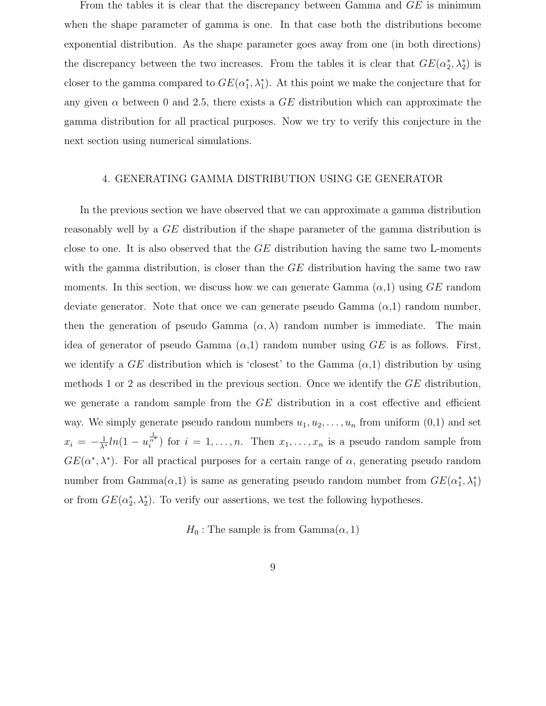From the tables it is clear that the discrepancy between Gamma and  $GE$  is minimum when the shape parameter of gamma is one. In that case both the distributions become exponential distribution. As the shape parameter goes away from one (in both directions) the discrepancy between the two increases. From the tables it is clear that  $GE(\alpha_2^*,\lambda_2^*)$  is closer to the gamma compared to  $GE(\alpha_1^*, \lambda_1^*)$ . At this point we make the conjecture that for any given  $\alpha$  between 0 and 2.5, there exists a GE distribution which can approximate the gamma distribution for all practical purposes. Now we try to verify this conjecture in the next section using numerical simulations.

### 4. GENERATING GAMMA DISTRIBUTION USING GE GENERATOR

In the previous section we have observed that we can approximate a gamma distribution reasonably well by a GE distribution if the shape parameter of the gamma distribution is close to one. It is also observed that the  $GE$  distribution having the same two L-moments with the gamma distribution, is closer than the GE distribution having the same two raw moments. In this section, we discuss how we can generate Gamma  $(\alpha,1)$  using GE random deviate generator. Note that once we can generate pseudo Gamma  $(\alpha,1)$  random number, then the generation of pseudo Gamma  $(\alpha, \lambda)$  random number is immediate. The main idea of generator of pseudo Gamma  $(\alpha,1)$  random number using  $GE$  is as follows. First, we identify a GE distribution which is 'closest' to the Gamma  $(\alpha,1)$  distribution by using methods 1 or 2 as described in the previous section. Once we identify the GE distribution, we generate a random sample from the  $GE$  distribution in a cost effective and efficient way. We simply generate pseudo random numbers  $u_1, u_2, \ldots, u_n$  from uniform  $(0,1)$  and set  $x_i = -\frac{1}{\lambda^*} ln(1 - u_i^{\frac{1}{\alpha^*}})$  for  $i = 1, ..., n$ . Then  $x_1, ..., x_n$  is a pseudo random sample from  $GE(\alpha^*, \lambda^*)$ . For all practical purposes for a certain range of  $\alpha$ , generating pseudo random number from Gamma $(\alpha,1)$  is same as generating pseudo random number from  $GE(\alpha_1^*,\lambda_1^*)$ or from  $GE(\alpha_2^*, \lambda_2^*)$ . To verify our assertions, we test the following hypotheses.

 $H_0$ : The sample is from  $\text{Gamma}(\alpha, 1)$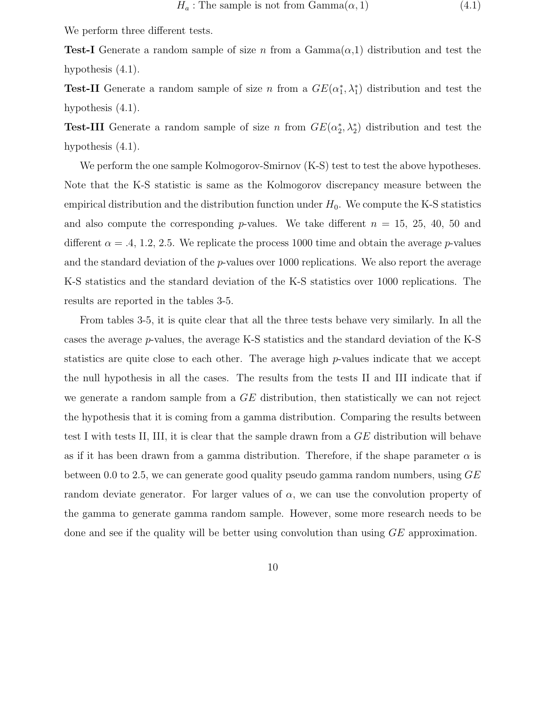$$
H_a: \text{The sample is not from Gamma}(\alpha, 1) \tag{4.1}
$$

We perform three different tests.

**Test-I** Generate a random sample of size n from a  $Gamma(\alpha,1)$  distribution and test the hypothesis (4.1).

**Test-II** Generate a random sample of size n from a  $GE(\alpha_1^*, \lambda_1^*)$  distribution and test the hypothesis (4.1).

**Test-III** Generate a random sample of size n from  $GE(\alpha_2^*, \lambda_2^*)$  distribution and test the hypothesis (4.1).

We perform the one sample Kolmogorov-Smirnov (K-S) test to test the above hypotheses. Note that the K-S statistic is same as the Kolmogorov discrepancy measure between the empirical distribution and the distribution function under  $H_0$ . We compute the K-S statistics and also compute the corresponding p-values. We take different  $n = 15, 25, 40, 50$  and different  $\alpha = .4, 1.2, 2.5$ . We replicate the process 1000 time and obtain the average p-values and the standard deviation of the p-values over 1000 replications. We also report the average K-S statistics and the standard deviation of the K-S statistics over 1000 replications. The results are reported in the tables 3-5.

From tables 3-5, it is quite clear that all the three tests behave very similarly. In all the cases the average p-values, the average K-S statistics and the standard deviation of the K-S statistics are quite close to each other. The average high p-values indicate that we accept the null hypothesis in all the cases. The results from the tests II and III indicate that if we generate a random sample from a GE distribution, then statistically we can not reject the hypothesis that it is coming from a gamma distribution. Comparing the results between test I with tests II, III, it is clear that the sample drawn from a GE distribution will behave as if it has been drawn from a gamma distribution. Therefore, if the shape parameter  $\alpha$  is between 0.0 to 2.5, we can generate good quality pseudo gamma random numbers, using  $GE$ random deviate generator. For larger values of  $\alpha$ , we can use the convolution property of the gamma to generate gamma random sample. However, some more research needs to be done and see if the quality will be better using convolution than using GE approximation.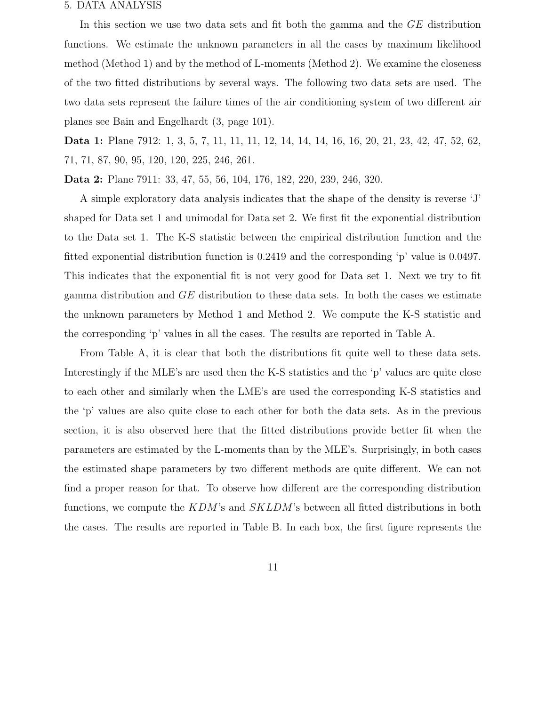#### 5. DATA ANALYSIS

In this section we use two data sets and fit both the gamma and the GE distribution functions. We estimate the unknown parameters in all the cases by maximum likelihood method (Method 1) and by the method of L-moments (Method 2). We examine the closeness of the two fitted distributions by several ways. The following two data sets are used. The two data sets represent the failure times of the air conditioning system of two different air planes see Bain and Engelhardt (3, page 101).

Data 1: Plane 7912: 1, 3, 5, 7, 11, 11, 11, 12, 14, 14, 14, 16, 16, 20, 21, 23, 42, 47, 52, 62, 71, 71, 87, 90, 95, 120, 120, 225, 246, 261.

Data 2: Plane 7911: 33, 47, 55, 56, 104, 176, 182, 220, 239, 246, 320.

A simple exploratory data analysis indicates that the shape of the density is reverse 'J' shaped for Data set 1 and unimodal for Data set 2. We first fit the exponential distribution to the Data set 1. The K-S statistic between the empirical distribution function and the fitted exponential distribution function is 0.2419 and the corresponding 'p' value is 0.0497. This indicates that the exponential fit is not very good for Data set 1. Next we try to fit gamma distribution and  $GE$  distribution to these data sets. In both the cases we estimate the unknown parameters by Method 1 and Method 2. We compute the K-S statistic and the corresponding 'p' values in all the cases. The results are reported in Table A.

From Table A, it is clear that both the distributions fit quite well to these data sets. Interestingly if the MLE's are used then the K-S statistics and the 'p' values are quite close to each other and similarly when the LME's are used the corresponding K-S statistics and the 'p' values are also quite close to each other for both the data sets. As in the previous section, it is also observed here that the fitted distributions provide better fit when the parameters are estimated by the L-moments than by the MLE's. Surprisingly, in both cases the estimated shape parameters by two different methods are quite different. We can not find a proper reason for that. To observe how different are the corresponding distribution functions, we compute the KDM's and SKLDM's between all fitted distributions in both the cases. The results are reported in Table B. In each box, the first figure represents the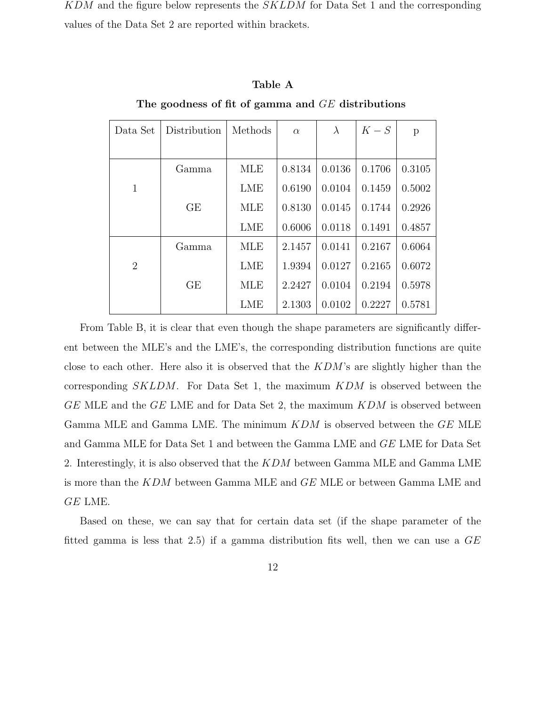KDM and the figure below represents the *SKLDM* for Data Set 1 and the corresponding values of the Data Set 2 are reported within brackets.

| Data Set       | Distribution | Methods    | $\alpha$ | $\lambda$ | $K-S$  | $\mathbf{p}$ |
|----------------|--------------|------------|----------|-----------|--------|--------------|
|                |              |            |          |           |        |              |
|                | Gamma        | <b>MLE</b> | 0.8134   | 0.0136    | 0.1706 | 0.3105       |
| $\mathbf{1}$   |              | <b>LME</b> | 0.6190   | 0.0104    | 0.1459 | 0.5002       |
|                | GE           | <b>MLE</b> | 0.8130   | 0.0145    | 0.1744 | 0.2926       |
|                |              | <b>LME</b> | 0.6006   | 0.0118    | 0.1491 | 0.4857       |
|                | Gamma        | <b>MLE</b> | 2.1457   | 0.0141    | 0.2167 | 0.6064       |
| $\overline{2}$ |              | LME        | 1.9394   | 0.0127    | 0.2165 | 0.6072       |
|                | GE           | <b>MLE</b> | 2.2427   | 0.0104    | 0.2194 | 0.5978       |
|                |              | <b>LME</b> | 2.1303   | 0.0102    | 0.2227 | 0.5781       |

Table A The goodness of fit of gamma and  $GE$  distributions

From Table B, it is clear that even though the shape parameters are significantly different between the MLE's and the LME's, the corresponding distribution functions are quite close to each other. Here also it is observed that the KDM's are slightly higher than the corresponding SKLDM. For Data Set 1, the maximum KDM is observed between the GE MLE and the GE LME and for Data Set 2, the maximum KDM is observed between Gamma MLE and Gamma LME. The minimum KDM is observed between the GE MLE and Gamma MLE for Data Set 1 and between the Gamma LME and GE LME for Data Set 2. Interestingly, it is also observed that the KDM between Gamma MLE and Gamma LME is more than the KDM between Gamma MLE and GE MLE or between Gamma LME and GE LME.

Based on these, we can say that for certain data set (if the shape parameter of the fitted gamma is less that 2.5) if a gamma distribution fits well, then we can use a  $GE$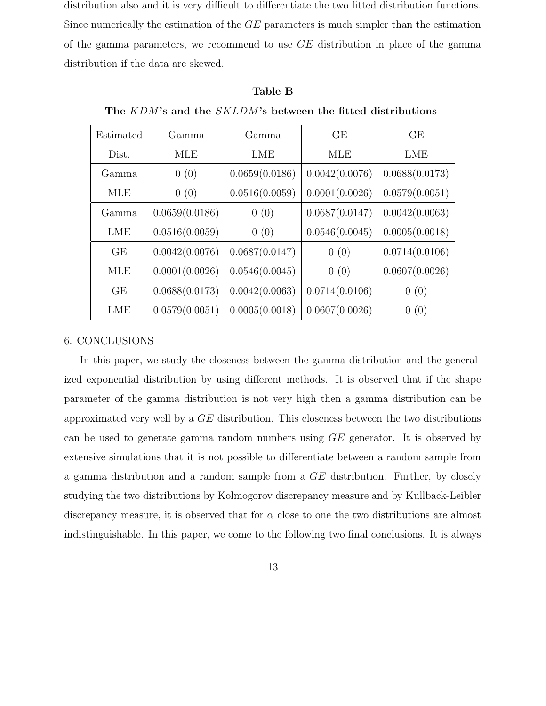distribution also and it is very difficult to differentiate the two fitted distribution functions. Since numerically the estimation of the GE parameters is much simpler than the estimation of the gamma parameters, we recommend to use GE distribution in place of the gamma distribution if the data are skewed.

#### Table B

Estimated Gamma Gamma GE GE GE Dist. | MLE | LME | MLE | LME Gamma  $\begin{bmatrix} 0 & 0 \\ 0.0659(0.0186) & 0.0042(0.0076) & 0.0688(0.0173) \end{bmatrix}$ MLE  $\vert$  0 (0)  $\vert$  0.0516(0.0059) | 0.0001(0.0026) | 0.0579(0.0051) Gamma  $(0.0659(0.0186) \cup 0.000000) \cup (0.0687(0.0147) \cup 0.0042(0.0063))$ LME  $\begin{bmatrix} 0.0516(0.0059) & 0.0005(0.0045) & 0.0005(0.0018) \end{bmatrix}$ GE 0.0042(0.0076) 0.0687(0.0147) 0 (0) 0.0714(0.0106) MLE  $\begin{bmatrix} 0.0001(0.0026) & 0.0546(0.0045) & 0 & 0 \end{bmatrix}$  0.0607(0.0026) GE  $\begin{bmatrix} 0.0688(0.0173) & 0.0042(0.0063) & 0.0714(0.0106) & 0 & 0 \end{bmatrix}$ LME  $\begin{bmatrix} 0.0579(0.0051) & 0.0005(0.0018) & 0.0607(0.0026) & 0 \end{bmatrix}$  0 (0)

The KDM's and the SKLDM's between the fitted distributions

#### 6. CONCLUSIONS

In this paper, we study the closeness between the gamma distribution and the generalized exponential distribution by using different methods. It is observed that if the shape parameter of the gamma distribution is not very high then a gamma distribution can be approximated very well by a  $GE$  distribution. This closeness between the two distributions can be used to generate gamma random numbers using GE generator. It is observed by extensive simulations that it is not possible to differentiate between a random sample from a gamma distribution and a random sample from a GE distribution. Further, by closely studying the two distributions by Kolmogorov discrepancy measure and by Kullback-Leibler discrepancy measure, it is observed that for  $\alpha$  close to one the two distributions are almost indistinguishable. In this paper, we come to the following two final conclusions. It is always

13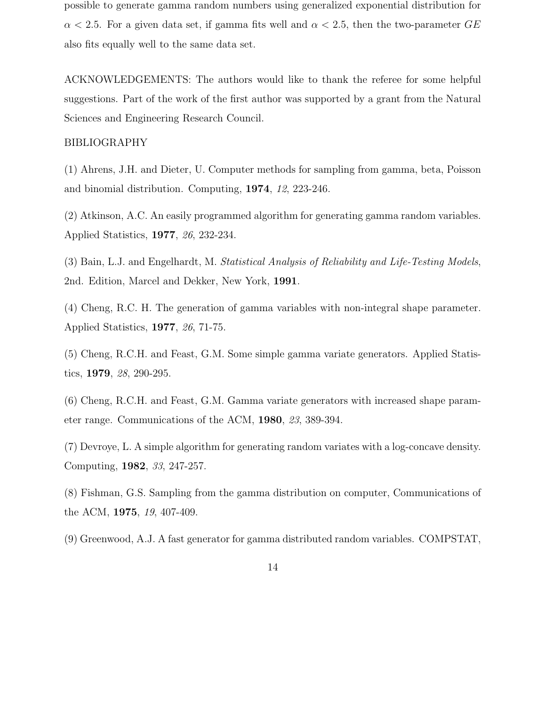possible to generate gamma random numbers using generalized exponential distribution for  $\alpha$  < 2.5. For a given data set, if gamma fits well and  $\alpha$  < 2.5, then the two-parameter GE also fits equally well to the same data set.

ACKNOWLEDGEMENTS: The authors would like to thank the referee for some helpful suggestions. Part of the work of the first author was supported by a grant from the Natural Sciences and Engineering Research Council.

### BIBLIOGRAPHY

(1) Ahrens, J.H. and Dieter, U. Computer methods for sampling from gamma, beta, Poisson and binomial distribution. Computing, 1974, 12, 223-246.

(2) Atkinson, A.C. An easily programmed algorithm for generating gamma random variables. Applied Statistics, 1977, 26, 232-234.

(3) Bain, L.J. and Engelhardt, M. Statistical Analysis of Reliability and Life-Testing Models, 2nd. Edition, Marcel and Dekker, New York, 1991.

(4) Cheng, R.C. H. The generation of gamma variables with non-integral shape parameter. Applied Statistics, 1977, 26, 71-75.

(5) Cheng, R.C.H. and Feast, G.M. Some simple gamma variate generators. Applied Statistics, 1979, 28, 290-295.

(6) Cheng, R.C.H. and Feast, G.M. Gamma variate generators with increased shape parameter range. Communications of the ACM, 1980, 23, 389-394.

(7) Devroye, L. A simple algorithm for generating random variates with a log-concave density. Computing, 1982, 33, 247-257.

(8) Fishman, G.S. Sampling from the gamma distribution on computer, Communications of the ACM, 1975, 19, 407-409.

(9) Greenwood, A.J. A fast generator for gamma distributed random variables. COMPSTAT,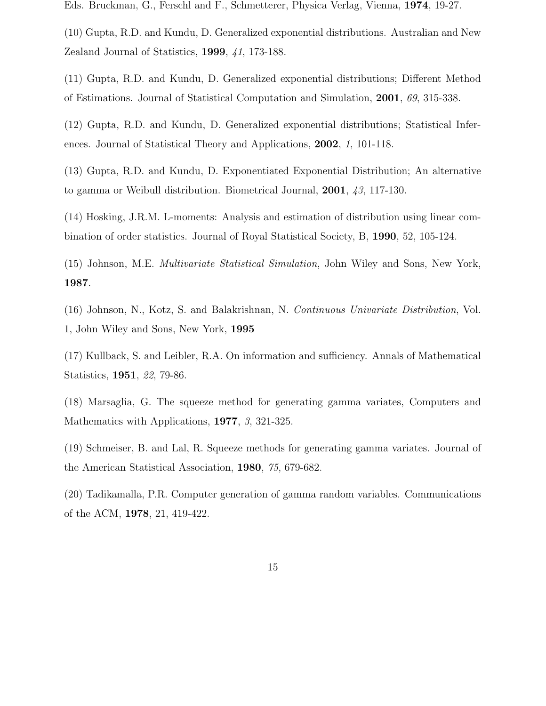Eds. Bruckman, G., Ferschl and F., Schmetterer, Physica Verlag, Vienna, 1974, 19-27.

(10) Gupta, R.D. and Kundu, D. Generalized exponential distributions. Australian and New Zealand Journal of Statistics, 1999, 41, 173-188.

(11) Gupta, R.D. and Kundu, D. Generalized exponential distributions; Different Method of Estimations. Journal of Statistical Computation and Simulation, 2001, 69, 315-338.

(12) Gupta, R.D. and Kundu, D. Generalized exponential distributions; Statistical Inferences. Journal of Statistical Theory and Applications, 2002, 1, 101-118.

(13) Gupta, R.D. and Kundu, D. Exponentiated Exponential Distribution; An alternative to gamma or Weibull distribution. Biometrical Journal, 2001, 43, 117-130.

(14) Hosking, J.R.M. L-moments: Analysis and estimation of distribution using linear combination of order statistics. Journal of Royal Statistical Society, B, 1990, 52, 105-124.

(15) Johnson, M.E. Multivariate Statistical Simulation, John Wiley and Sons, New York, 1987.

(16) Johnson, N., Kotz, S. and Balakrishnan, N. Continuous Univariate Distribution, Vol. 1, John Wiley and Sons, New York, 1995

(17) Kullback, S. and Leibler, R.A. On information and sufficiency. Annals of Mathematical Statistics, 1951, 22, 79-86.

(18) Marsaglia, G. The squeeze method for generating gamma variates, Computers and Mathematics with Applications, 1977, 3, 321-325.

(19) Schmeiser, B. and Lal, R. Squeeze methods for generating gamma variates. Journal of the American Statistical Association, 1980, 75, 679-682.

(20) Tadikamalla, P.R. Computer generation of gamma random variables. Communications of the ACM, 1978, 21, 419-422.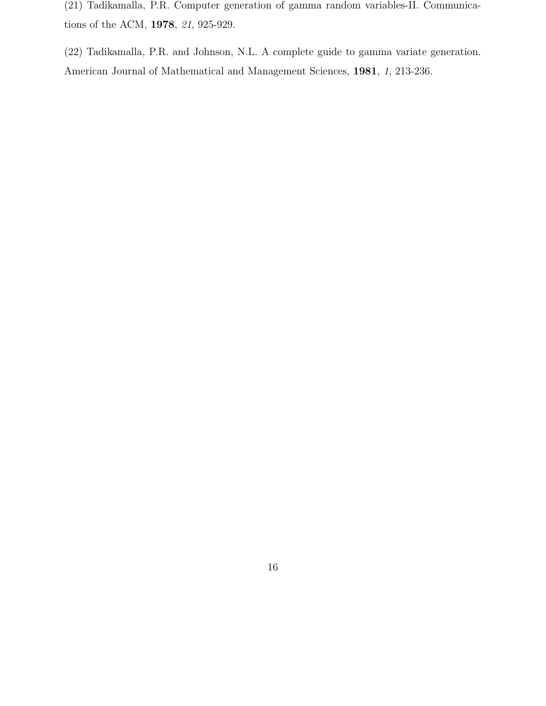(21) Tadikamalla, P.R. Computer generation of gamma random variables-II. Communications of the ACM, 1978, 21, 925-929.

(22) Tadikamalla, P.R. and Johnson, N.L. A complete guide to gamma variate generation. American Journal of Mathematical and Management Sciences, 1981, 1, 213-236.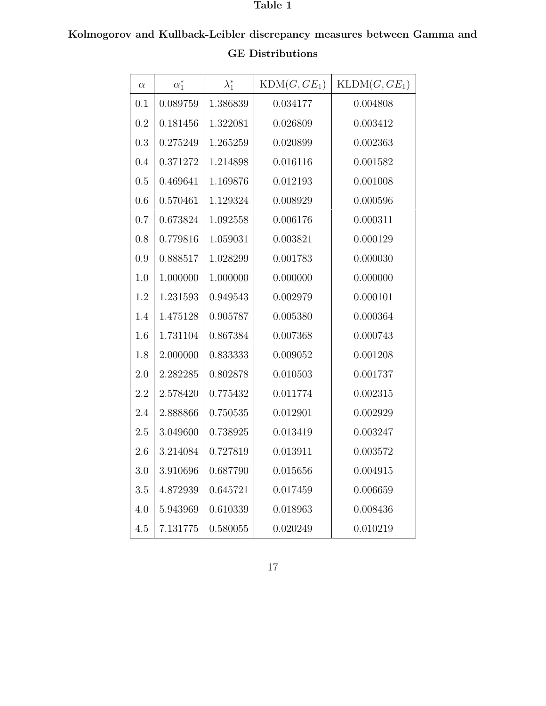# Kolmogorov and Kullback-Leibler discrepancy measures between Gamma and

| $\alpha$ | $\alpha_1^*$ | $\lambda_1^*$ | KDM(G, GE <sub>1</sub> ) | $\text{KLDM}(G, GE_1)$ |
|----------|--------------|---------------|--------------------------|------------------------|
| 0.1      | 0.089759     | 1.386839      | 0.034177                 | 0.004808               |
| 0.2      | 0.181456     | 1.322081      | 0.026809                 | 0.003412               |
| 0.3      | 0.275249     | 1.265259      | 0.020899                 | 0.002363               |
| 0.4      | 0.371272     | 1.214898      | 0.016116                 | 0.001582               |
| 0.5      | 0.469641     | 1.169876      | 0.012193                 | 0.001008               |
| 0.6      | 0.570461     | 1.129324      | 0.008929                 | 0.000596               |
| 0.7      | 0.673824     | 1.092558      | 0.006176                 | 0.000311               |
| 0.8      | 0.779816     | 1.059031      | 0.003821                 | 0.000129               |
| 0.9      | 0.888517     | 1.028299      | 0.001783                 | 0.000030               |
| 1.0      | 1.000000     | 1.000000      | 0.000000                 | 0.000000               |
| 1.2      | 1.231593     | 0.949543      | 0.002979                 | 0.000101               |
| 1.4      | 1.475128     | 0.905787      | 0.005380                 | 0.000364               |
| 1.6      | 1.731104     | 0.867384      | 0.007368                 | 0.000743               |
| 1.8      | 2.000000     | 0.833333      | 0.009052                 | 0.001208               |
| 2.0      | 2.282285     | 0.802878      | 0.010503                 | 0.001737               |
| 2.2      | 2.578420     | 0.775432      | 0.011774                 | 0.002315               |
| 2.4      | 2.888866     | 0.750535      | 0.012901                 | 0.002929               |
| $2.5\,$  | 3.049600     | 0.738925      | 0.013419                 | 0.003247               |
| 2.6      | 3.214084     | 0.727819      | 0.013911                 | 0.003572               |
| 3.0      | 3.910696     | 0.687790      | 0.015656                 | 0.004915               |
| $3.5\,$  | 4.872939     | 0.645721      | 0.017459                 | 0.006659               |
| 4.0      | 5.943969     | 0.610339      | 0.018963                 | 0.008436               |
| 4.5      | 7.131775     | 0.580055      | 0.020249                 | 0.010219               |

# GE Distributions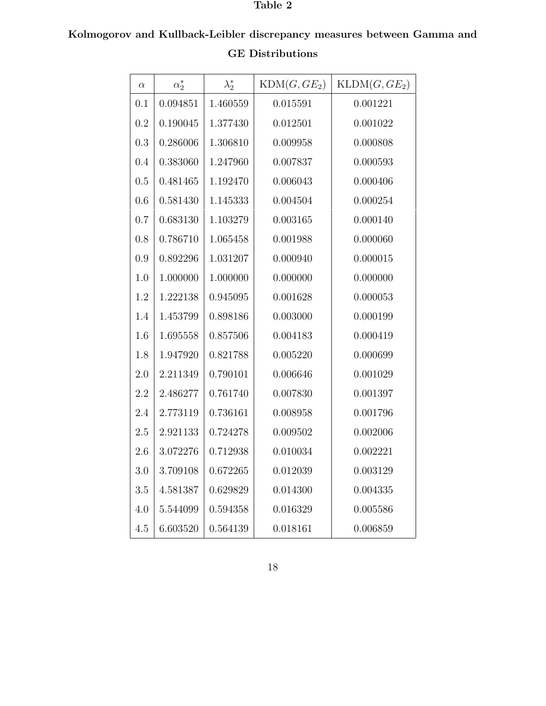# Kolmogorov and Kullback-Leibler discrepancy measures between Gamma and

| $\alpha$ | $\alpha_2^*$ | $\lambda_2^*$ | $KDM(G, GE_2)$ | $\text{KLDM}(G, GE_2)$ |
|----------|--------------|---------------|----------------|------------------------|
| 0.1      | 0.094851     | 1.460559      | 0.015591       | 0.001221               |
| 0.2      | 0.190045     | 1.377430      | 0.012501       | 0.001022               |
| 0.3      | 0.286006     | 1.306810      | 0.009958       | 0.000808               |
| 0.4      | 0.383060     | 1.247960      | 0.007837       | 0.000593               |
| 0.5      | 0.481465     | 1.192470      | 0.006043       | 0.000406               |
| 0.6      | 0.581430     | 1.145333      | 0.004504       | 0.000254               |
| 0.7      | 0.683130     | 1.103279      | 0.003165       | 0.000140               |
| 0.8      | 0.786710     | 1.065458      | 0.001988       | 0.000060               |
| 0.9      | 0.892296     | 1.031207      | 0.000940       | 0.000015               |
| 1.0      | 1.000000     | 1.000000      | 0.000000       | 0.000000               |
| 1.2      | 1.222138     | 0.945095      | 0.001628       | 0.000053               |
| 1.4      | 1.453799     | 0.898186      | 0.003000       | 0.000199               |
| 1.6      | 1.695558     | 0.857506      | 0.004183       | 0.000419               |
| 1.8      | 1.947920     | 0.821788      | 0.005220       | 0.000699               |
| 2.0      | 2.211349     | 0.790101      | 0.006646       | 0.001029               |
| 2.2      | 2.486277     | 0.761740      | 0.007830       | 0.001397               |
| 2.4      | 2.773119     | 0.736161      | 0.008958       | 0.001796               |
| $2.5\,$  | 2.921133     | 0.724278      | 0.009502       | 0.002006               |
| 2.6      | 3.072276     | 0.712938      | 0.010034       | 0.002221               |
| 3.0      | 3.709108     | 0.672265      | 0.012039       | 0.003129               |
| 3.5      | 4.581387     | 0.629829      | 0.014300       | 0.004335               |
| 4.0      | 5.544099     | 0.594358      | 0.016329       | 0.005586               |
| 4.5      | 6.603520     | 0.564139      | 0.018161       | 0.006859               |

# GE Distributions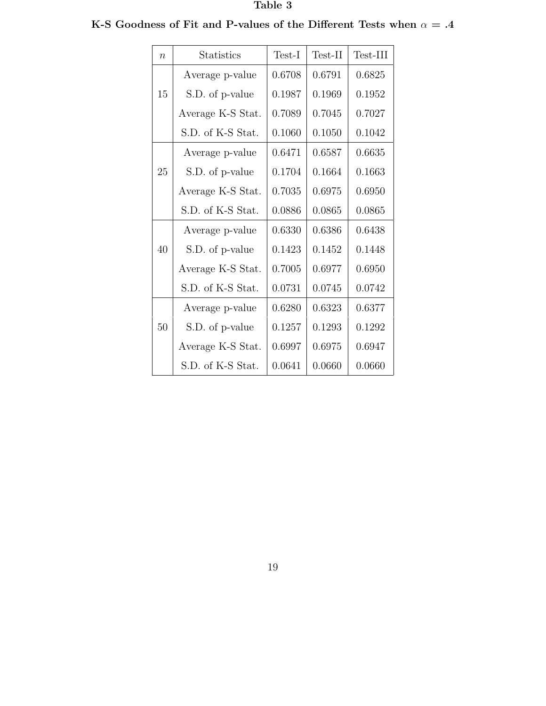| $\overline{n}$ | <b>Statistics</b> | $Test-I$ | $Test-II$ | Test-III |
|----------------|-------------------|----------|-----------|----------|
|                | Average p-value   | 0.6708   | 0.6791    | 0.6825   |
| 15             | S.D. of p-value   | 0.1987   | 0.1969    | 0.1952   |
|                | Average K-S Stat. | 0.7089   | 0.7045    | 0.7027   |
|                | S.D. of K-S Stat. | 0.1060   | 0.1050    | 0.1042   |
|                | Average p-value   | 0.6471   | 0.6587    | 0.6635   |
| 25             | S.D. of p-value   | 0.1704   | 0.1664    | 0.1663   |
|                | Average K-S Stat. | 0.7035   | 0.6975    | 0.6950   |
|                | S.D. of K-S Stat. | 0.0886   | 0.0865    | 0.0865   |
|                | Average p-value   | 0.6330   | 0.6386    | 0.6438   |
| 40             | S.D. of p-value   | 0.1423   | 0.1452    | 0.1448   |
|                | Average K-S Stat. | 0.7005   | 0.6977    | 0.6950   |
|                | S.D. of K-S Stat. | 0.0731   | 0.0745    | 0.0742   |
|                | Average p-value   | 0.6280   | 0.6323    | 0.6377   |
| 50             | S.D. of p-value   | 0.1257   | 0.1293    | 0.1292   |
|                | Average K-S Stat. | 0.6997   | 0.6975    | 0.6947   |
|                | S.D. of K-S Stat. | 0.0641   | 0.0660    | 0.0660   |

# K-S Goodness of Fit and P-values of the Different Tests when  $\alpha=.4$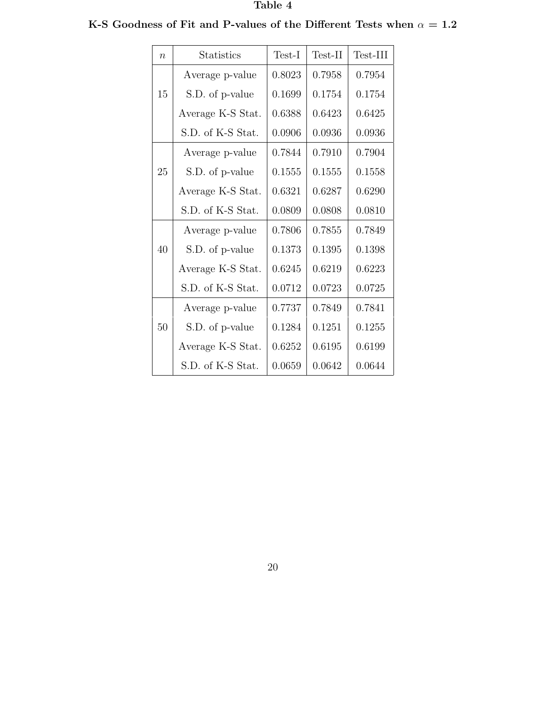| $\boldsymbol{n}$ | Statistics        | $Test-I$ | Test-II | Test-III |
|------------------|-------------------|----------|---------|----------|
|                  | Average p-value   | 0.8023   | 0.7958  | 0.7954   |
| 15               | S.D. of p-value   | 0.1699   | 0.1754  | 0.1754   |
|                  | Average K-S Stat. | 0.6388   | 0.6423  | 0.6425   |
|                  | S.D. of K-S Stat. | 0.0906   | 0.0936  | 0.0936   |
|                  | Average p-value   | 0.7844   | 0.7910  | 0.7904   |
| 25               | S.D. of p-value   | 0.1555   | 0.1555  | 0.1558   |
|                  | Average K-S Stat. | 0.6321   | 0.6287  | 0.6290   |
|                  | S.D. of K-S Stat. | 0.0809   | 0.0808  | 0.0810   |
|                  | Average p-value   | 0.7806   | 0.7855  | 0.7849   |
| 40               | S.D. of p-value   | 0.1373   | 0.1395  | 0.1398   |
|                  | Average K-S Stat. | 0.6245   | 0.6219  | 0.6223   |
|                  | S.D. of K-S Stat. | 0.0712   | 0.0723  | 0.0725   |
|                  | Average p-value   | 0.7737   | 0.7849  | 0.7841   |
| 50               | S.D. of p-value   | 0.1284   | 0.1251  | 0.1255   |
|                  | Average K-S Stat. | 0.6252   | 0.6195  | 0.6199   |
|                  | S.D. of K-S Stat. | 0.0659   | 0.0642  | 0.0644   |

# K-S Goodness of Fit and P-values of the Different Tests when  $\alpha = 1.2$